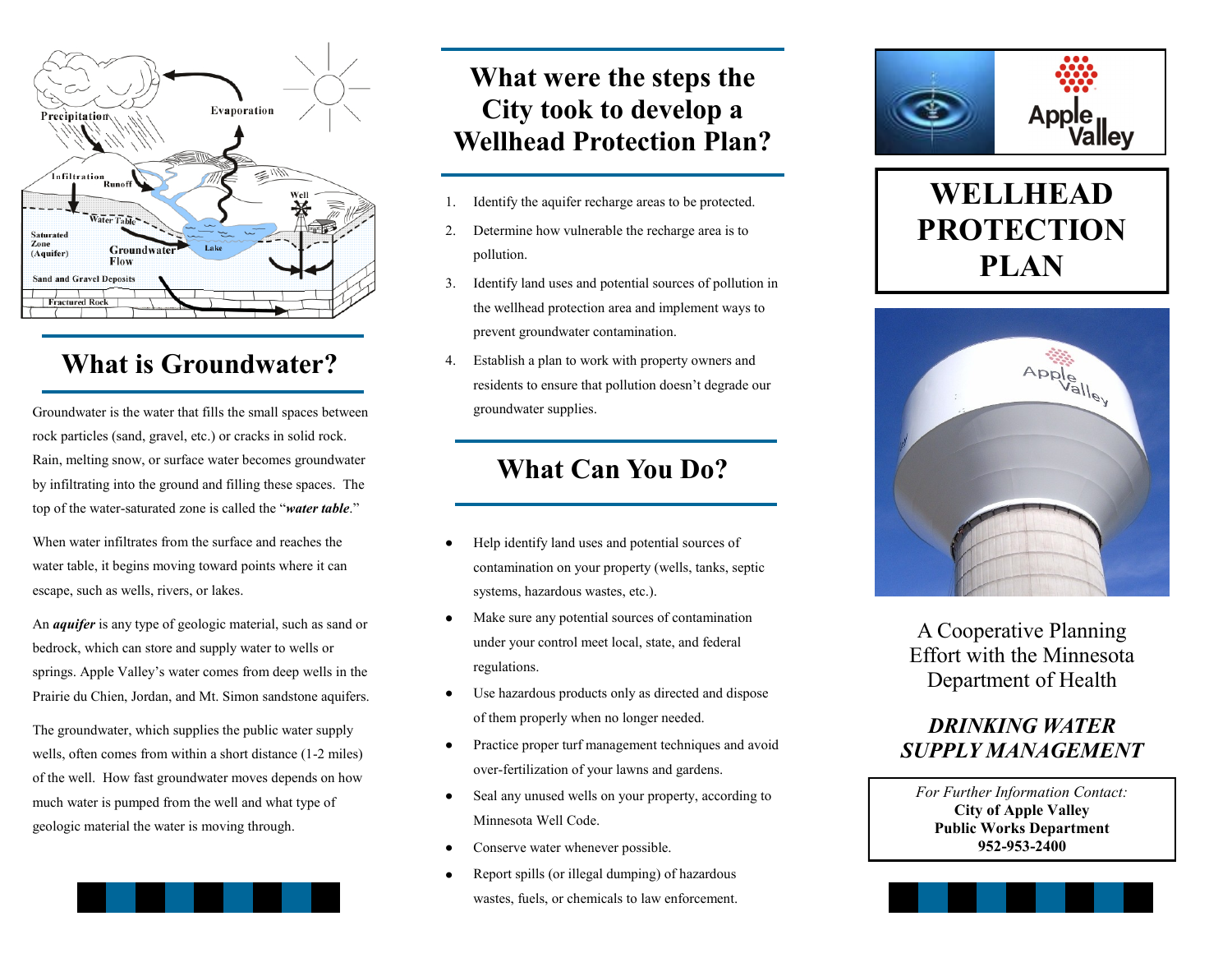

### **What is Groundwater?**

Groundwater is the water that fills the small spaces between rock particles (sand, gravel, etc.) or cracks in solid rock. Rain, melting snow, or surface water becomes groundwater by infiltrating into the ground and filling these spaces. The top of the water-saturated zone is called the "*water table*."

When water infiltrates from the surface and reaches the water table, it begins moving toward points where it can escape, such as wells, rivers, or lakes.

An *aquifer* is any type of geologic material, such as sand or bedrock, which can store and supply water to wells or springs. Apple Valley's water comes from deep wells in the Prairie du Chien, Jordan, and Mt. Simon sandstone aquifers.

The groundwater, which supplies the public water supply wells, often comes from within a short distance (1-2 miles) of the well. How fast groundwater moves depends on how much water is pumped from the well and what type of geologic material the water is moving through.

## **What were the steps the City took to develop a Wellhead Protection Plan?**

- 1. Identify the aquifer recharge areas to be protected.
- 2. Determine how vulnerable the recharge area is to pollution.
- 3. Identify land uses and potential sources of pollution in the wellhead protection area and implement ways to prevent groundwater contamination.
- 4. Establish a plan to work with property owners and residents to ensure that pollution doesn't degrade our groundwater supplies.

### **What Can You Do?**

- Help identify land uses and potential sources of contamination on your property (wells, tanks, septic systems, hazardous wastes, etc.).
- Make sure any potential sources of contamination under your control meet local, state, and federal regulations.
- Use hazardous products only as directed and dispose  $\bullet$ of them properly when no longer needed.
- Practice proper turf management techniques and avoid  $\bullet$ over-fertilization of your lawns and gardens.
- Seal any unused wells on your property, according to Minnesota Well Code.
- Conserve water whenever possible.
- Report spills (or illegal dumping) of hazardous wastes, fuels, or chemicals to law enforcement.



# **WELLHEAD PROTECTION PLAN**



A Cooperative Planning Effort with the Minnesota Department of Health

### *DRINKING WATER SUPPLY MANAGEMENT*

*For Further Information Contact:* **City of Apple Valley Public Works Department 952-953-2400**